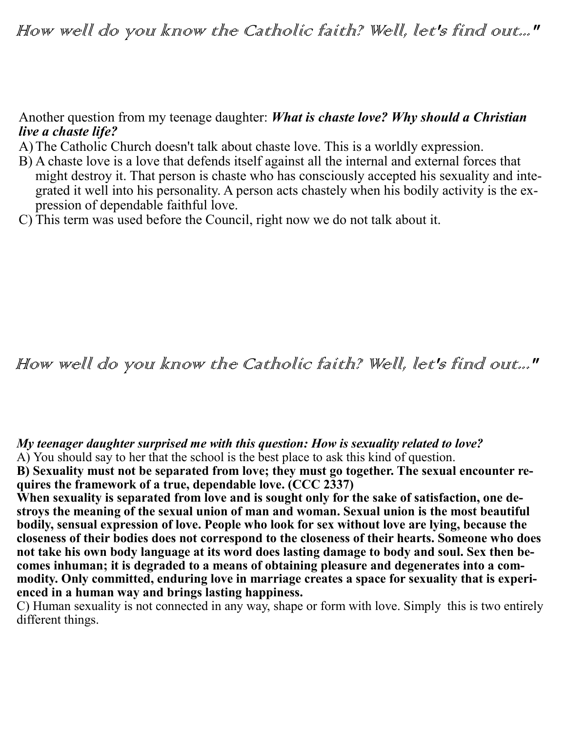## Another question from my teenage daughter: *What is chaste love? Why should a Christian live a chaste life?*

- A)The Catholic Church doesn't talk about chaste love. This is a worldly expression.
- B) A chaste love is a love that defends itself against all the internal and external forces that might destroy it. That person is chaste who has consciously accepted his sexuality and integrated it well into his personality. A person acts chastely when his bodily activity is the expression of dependable faithful love.
- C) This term was used before the Council, right now we do not talk about it.

## How well do you know the Catholic faith? Well, let's find out..."

*My teenager daughter surprised me with this question: How is sexuality related to love?*

A) You should say to her that the school is the best place to ask this kind of question.

**B) Sexuality must not be separated from love; they must go together. The sexual encounter requires the framework of a true, dependable love. (CCC 2337)**

**When sexuality is separated from love and is sought only for the sake of satisfaction, one destroys the meaning of the sexual union of man and woman. Sexual union is the most beautiful bodily, sensual expression of love. People who look for sex without love are lying, because the closeness of their bodies does not correspond to the closeness of their hearts. Someone who does not take his own body language at its word does lasting damage to body and soul. Sex then becomes inhuman; it is degraded to a means of obtaining pleasure and degenerates into a commodity. Only committed, enduring love in marriage creates a space for sexuality that is experienced in a human way and brings lasting happiness.**

C) Human sexuality is not connected in any way, shape or form with love. Simply this is two entirely different things.